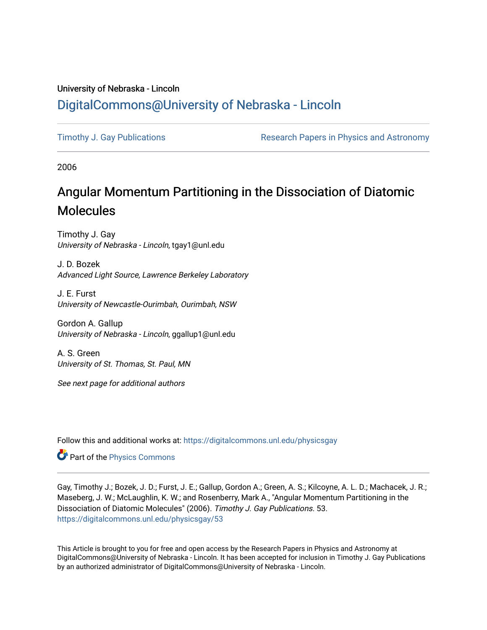## University of Nebraska - Lincoln [DigitalCommons@University of Nebraska - Lincoln](https://digitalcommons.unl.edu/)

[Timothy J. Gay Publications](https://digitalcommons.unl.edu/physicsgay) **Research Papers in Physics and Astronomy** 

2006

# Angular Momentum Partitioning in the Dissociation of Diatomic Molecules

Timothy J. Gay University of Nebraska - Lincoln, tgay1@unl.edu

J. D. Bozek Advanced Light Source, Lawrence Berkeley Laboratory

J. E. Furst University of Newcastle-Ourimbah, Ourimbah, NSW

Gordon A. Gallup University of Nebraska - Lincoln, ggallup1@unl.edu

A. S. Green University of St. Thomas, St. Paul, MN

See next page for additional authors

Follow this and additional works at: [https://digitalcommons.unl.edu/physicsgay](https://digitalcommons.unl.edu/physicsgay?utm_source=digitalcommons.unl.edu%2Fphysicsgay%2F53&utm_medium=PDF&utm_campaign=PDFCoverPages)

Part of the [Physics Commons](http://network.bepress.com/hgg/discipline/193?utm_source=digitalcommons.unl.edu%2Fphysicsgay%2F53&utm_medium=PDF&utm_campaign=PDFCoverPages)

Gay, Timothy J.; Bozek, J. D.; Furst, J. E.; Gallup, Gordon A.; Green, A. S.; Kilcoyne, A. L. D.; Machacek, J. R.; Maseberg, J. W.; McLaughlin, K. W.; and Rosenberry, Mark A., "Angular Momentum Partitioning in the Dissociation of Diatomic Molecules" (2006). Timothy J. Gay Publications. 53. [https://digitalcommons.unl.edu/physicsgay/53](https://digitalcommons.unl.edu/physicsgay/53?utm_source=digitalcommons.unl.edu%2Fphysicsgay%2F53&utm_medium=PDF&utm_campaign=PDFCoverPages) 

This Article is brought to you for free and open access by the Research Papers in Physics and Astronomy at DigitalCommons@University of Nebraska - Lincoln. It has been accepted for inclusion in Timothy J. Gay Publications by an authorized administrator of DigitalCommons@University of Nebraska - Lincoln.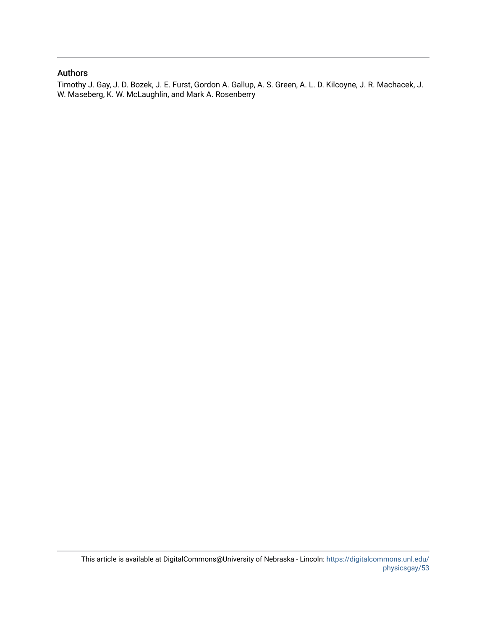### Authors

Timothy J. Gay, J. D. Bozek, J. E. Furst, Gordon A. Gallup, A. S. Green, A. L. D. Kilcoyne, J. R. Machacek, J. W. Maseberg, K. W. McLaughlin, and Mark A. Rosenberry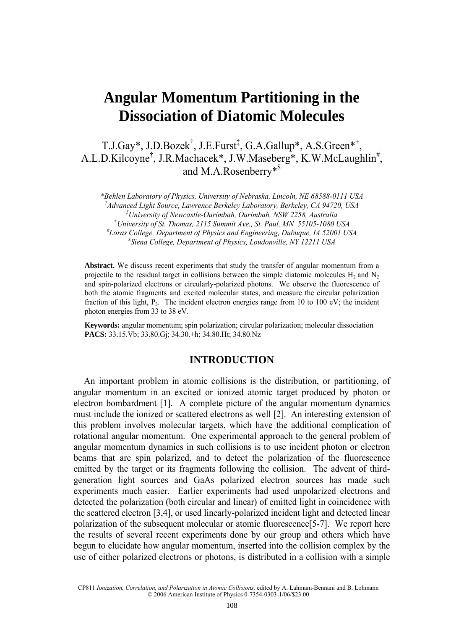## **Angular Momentum Partitioning in the Dissociation of Diatomic Molecules**

T.J.Gay\*, J.D.Bozek<sup>†</sup>, J.E.Furst<sup>‡</sup>, G.A.Gallup\*, A.S.Green\*<sup>+</sup>, A.L.D.Kilcoyne<sup>†</sup>, J.R.Machacek\*, J.W.Maseberg\*, K.W.McLaughlin<sup>#</sup>, and M.A.Rosenberry\*\$

*\*Behlen Laboratory of Physics, University of Nebraska, Lincoln, NE 68588-0111 USA † Advanced Light Source, Lawrence Berkeley Laboratory, Berkeley, CA 94720, USA ‡ University of Newcastle-Ourimbah, Ourimbah, NSW 2258, Australia + University of St. Thomas, 2115 Summit Ave., St. Paul, MN 55105-1080 USA # Loras College, Department of Physics and Engineering, Dubuque, IA 52001 USA \$ Siena College, Department of Physics, Loudonville, NY 12211 USA* 

**Abstract.** We discuss recent experiments that study the transfer of angular momentum from a projectile to the residual target in collisions between the simple diatomic molecules H<sub>2</sub> and N<sub>2</sub> and spin-polarized electrons or circularly-polarized photons. We observe the fluorescence of both the atomic fragments and excited molecular states, and measure the circular polarization fraction of this light,  $P_3$ . The incident electron energies range from 10 to 100 eV; the incident photon energies from 33 to 38 eV.

**Keywords:** angular momentum; spin polarization; circular polarization; molecular dissociation **PACS:** 33.15.Vb; 33.80.Gj; 34.30.+h; 34.80.Ht; 34.80.Nz

#### **INTRODUCTION**

An important problem in atomic collisions is the distribution, or partitioning, of angular momentum in an excited or ionized atomic target produced by photon or electron bombardment [1]. A complete picture of the angular momentum dynamics must include the ionized or scattered electrons as well [2]. An interesting extension of this problem involves molecular targets, which have the additional complication of rotational angular momentum. One experimental approach to the general problem of angular momentum dynamics in such collisions is to use incident photon or electron beams that are spin polarized, and to detect the polarization of the fluorescence emitted by the target or its fragments following the collision. The advent of thirdgeneration light sources and GaAs polarized electron sources has made such experiments much easier. Earlier experiments had used unpolarized electrons and detected the polarization (both circular and linear) of emitted light in coincidence with the scattered electron [3,4], or used linearly-polarized incident light and detected linear polarization of the subsequent molecular or atomic fluorescence[5-7]. We report here the results of several recent experiments done by our group and others which have begun to elucidate how angular momentum, inserted into the collision complex by the use of either polarized electrons or photons, is distributed in a collision with a simple

CP811 *Ionization, Correlation, and Polarization in Atomic Collisions,* edited by A. Lahmam-Bennani and B. Lohmann © 2006 American Institute of Physics 0-7354-0303-1/06/\$23.00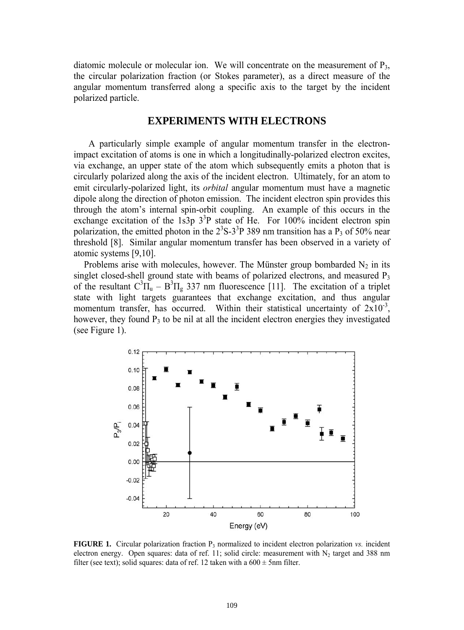diatomic molecule or molecular ion. We will concentrate on the measurement of  $P_3$ , the circular polarization fraction (or Stokes parameter), as a direct measure of the angular momentum transferred along a specific axis to the target by the incident polarized particle.

#### **EXPERIMENTS WITH ELECTRONS**

 A particularly simple example of angular momentum transfer in the electronimpact excitation of atoms is one in which a longitudinally-polarized electron excites, via exchange, an upper state of the atom which subsequently emits a photon that is circularly polarized along the axis of the incident electron. Ultimately, for an atom to emit circularly-polarized light, its *orbital* angular momentum must have a magnetic dipole along the direction of photon emission. The incident electron spin provides this through the atom's internal spin-orbit coupling. An example of this occurs in the exchange excitation of the 1s3p  $3^3P$  state of He. For 100% incident electron spin polarization, the emitted photon in the  $2<sup>3</sup>S-3<sup>3</sup>P$  389 nm transition has a P<sub>3</sub> of 50% near threshold [8]. Similar angular momentum transfer has been observed in a variety of atomic systems [9,10].

Problems arise with molecules, however. The Münster group bombarded  $N_2$  in its singlet closed-shell ground state with beams of polarized electrons, and measured P<sub>3</sub> of the resultant  $C^3\Pi_u - B^3\Pi_g$  337 nm fluorescence [11]. The excitation of a triplet state with light targets guarantees that exchange excitation, and thus angular momentum transfer, has occurred. Within their statistical uncertainty of  $2x10^{-3}$ , however, they found  $P_3$  to be nil at all the incident electron energies they investigated (see Figure 1).



**FIGURE 1.** Circular polarization fraction  $P_3$  normalized to incident electron polarization *vs.* incident electron energy. Open squares: data of ref. 11; solid circle: measurement with  $N_2$  target and 388 nm filter (see text); solid squares: data of ref. 12 taken with a  $600 \pm 5$ nm filter.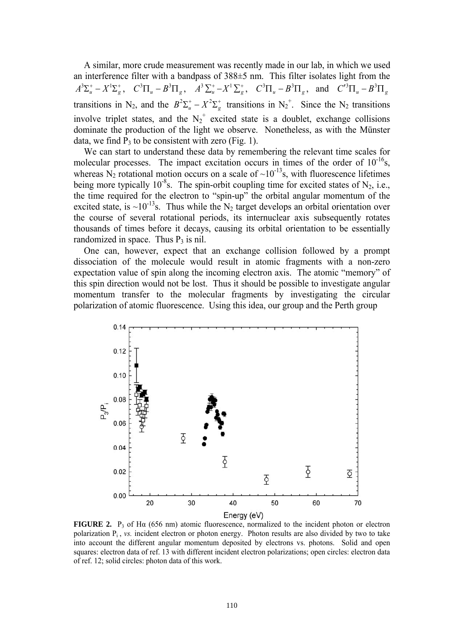A similar, more crude measurement was recently made in our lab, in which we used an interference filter with a bandpass of 388±5 nm. This filter isolates light from the  $A^3 \Sigma_u^+ - X^1 \Sigma_g^+$ ,  $C^3 \Pi_u - B^3 \Pi_g$ ,  $A^3 \Sigma_u^+ - X^1 \Sigma_g^+$ ,  $C^3 \Pi_u - B^3 \Pi_g$ , and  $C'^3 \Pi_u - B^3 \Pi_g$ transitions in N<sub>2</sub>, and the  $B^2\Sigma_u^+ - X^2\Sigma_g^+$  transitions in N<sub>2</sub><sup>+</sup>. Since the N<sub>2</sub> transitions involve triplet states, and the  $N_2^+$  excited state is a doublet, exchange collisions dominate the production of the light we observe. Nonetheless, as with the Münster data, we find  $P_3$  to be consistent with zero (Fig. 1).

We can start to understand these data by remembering the relevant time scales for molecular processes. The impact excitation occurs in times of the order of  $10^{-16}$ s, whereas  $N_2$  rotational motion occurs on a scale of  $\sim 10^{-13}$ s, with fluorescence lifetimes being more typically  $10^{-8}$ s. The spin-orbit coupling time for excited states of N<sub>2</sub>, i.e., the time required for the electron to "spin-up" the orbital angular momentum of the excited state, is ~10<sup>-13</sup>s. Thus while the N<sub>2</sub> target develops an orbital orientation over the course of several rotational periods, its internuclear axis subsequently rotates thousands of times before it decays, causing its orbital orientation to be essentially randomized in space. Thus  $P_3$  is nil.

One can, however, expect that an exchange collision followed by a prompt dissociation of the molecule would result in atomic fragments with a non-zero expectation value of spin along the incoming electron axis. The atomic "memory" of this spin direction would not be lost. Thus it should be possible to investigate angular momentum transfer to the molecular fragments by investigating the circular polarization of atomic fluorescence. Using this idea, our group and the Perth group



**FIGURE 2.** P<sub>3</sub> of Hα (656 nm) atomic fluorescence, normalized to the incident photon or electron polarization  $P_i$ , *vs.* incident electron or photon energy. Photon results are also divided by two to take into account the different angular momentum deposited by electrons vs. photons. Solid and open squares: electron data of ref. 13 with different incident electron polarizations; open circles: electron data of ref. 12; solid circles: photon data of this work.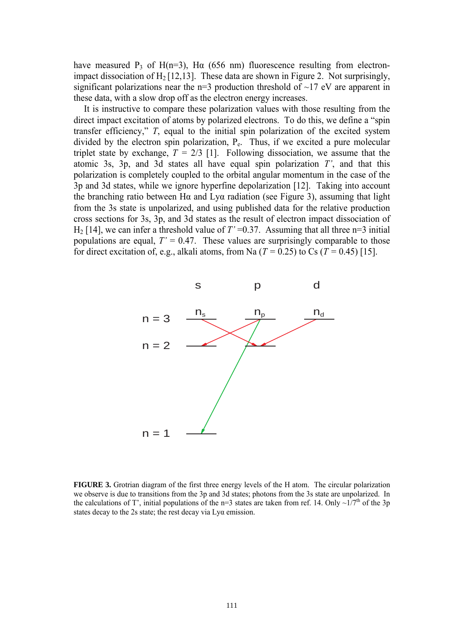have measured P<sub>3</sub> of H(n=3), H $\alpha$  (656 nm) fluorescence resulting from electronimpact dissociation of  $H_2$  [12,13]. These data are shown in Figure 2. Not surprisingly, significant polarizations near the  $n=3$  production threshold of  $\sim$ 17 eV are apparent in these data, with a slow drop off as the electron energy increases.

It is instructive to compare these polarization values with those resulting from the direct impact excitation of atoms by polarized electrons. To do this, we define a "spin transfer efficiency," *T*, equal to the initial spin polarization of the excited system divided by the electron spin polarization,  $P_e$ . Thus, if we excited a pure molecular triplet state by exchange,  $T = 2/3$  [1]. Following dissociation, we assume that the atomic 3s, 3p, and 3d states all have equal spin polarization *T'*, and that this polarization is completely coupled to the orbital angular momentum in the case of the 3p and 3d states, while we ignore hyperfine depolarization [12]. Taking into account the branching ratio between Hα and Lyα radiation (see Figure 3), assuming that light from the 3s state is unpolarized, and using published data for the relative production cross sections for 3s, 3p, and 3d states as the result of electron impact dissociation of  $H_2$  [14], we can infer a threshold value of  $T' = 0.37$ . Assuming that all three n=3 initial populations are equal,  $T' = 0.47$ . These values are surprisingly comparable to those for direct excitation of, e.g., alkali atoms, from Na  $(T = 0.25)$  to Cs  $(T = 0.45)$  [15].



**FIGURE 3.** Grotrian diagram of the first three energy levels of the H atom. The circular polarization we observe is due to transitions from the 3p and 3d states; photons from the 3s state are unpolarized. In the calculations of T', initial populations of the n=3 states are taken from ref. 14. Only  $\sim 1/7^{th}$  of the 3p states decay to the 2s state; the rest decay via Lyα emission.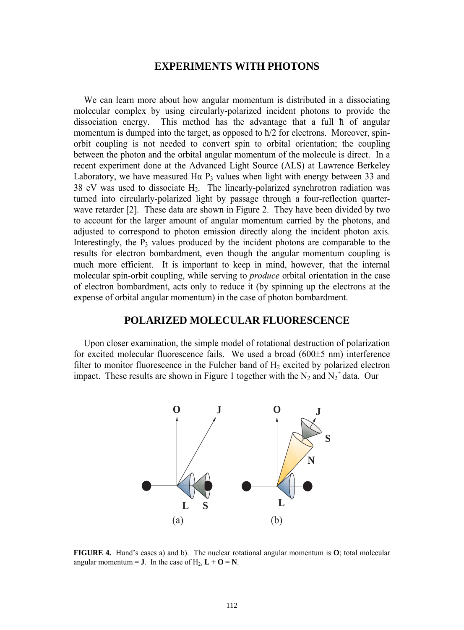#### **EXPERIMENTS WITH PHOTONS**

We can learn more about how angular momentum is distributed in a dissociating molecular complex by using circularly-polarized incident photons to provide the dissociation energy. This method has the advantage that a full ћ of angular momentum is dumped into the target, as opposed to ћ/2 for electrons. Moreover, spinorbit coupling is not needed to convert spin to orbital orientation; the coupling between the photon and the orbital angular momentum of the molecule is direct. In a recent experiment done at the Advanced Light Source (ALS) at Lawrence Berkeley Laboratory, we have measured H $\alpha$  P<sub>3</sub> values when light with energy between 33 and 38 eV was used to dissociate  $H_2$ . The linearly-polarized synchrotron radiation was turned into circularly-polarized light by passage through a four-reflection quarterwave retarder [2]. These data are shown in Figure 2. They have been divided by two to account for the larger amount of angular momentum carried by the photons, and adjusted to correspond to photon emission directly along the incident photon axis. Interestingly, the  $P_3$  values produced by the incident photons are comparable to the results for electron bombardment, even though the angular momentum coupling is much more efficient. It is important to keep in mind, however, that the internal molecular spin-orbit coupling, while serving to *produce* orbital orientation in the case of electron bombardment, acts only to reduce it (by spinning up the electrons at the expense of orbital angular momentum) in the case of photon bombardment.

#### **POLARIZED MOLECULAR FLUORESCENCE**

Upon closer examination, the simple model of rotational destruction of polarization for excited molecular fluorescence fails. We used a broad (600±5 nm) interference filter to monitor fluorescence in the Fulcher band of  $H_2$  excited by polarized electron impact. These results are shown in Figure 1 together with the  $N_2$  and  $N_2^+$  data. Our



**FIGURE 4.** Hund's cases a) and b). The nuclear rotational angular momentum is **O**; total molecular angular momentum = **J**. In the case of  $H_2$ ,  $\mathbf{L} + \mathbf{O} = \mathbf{N}$ .